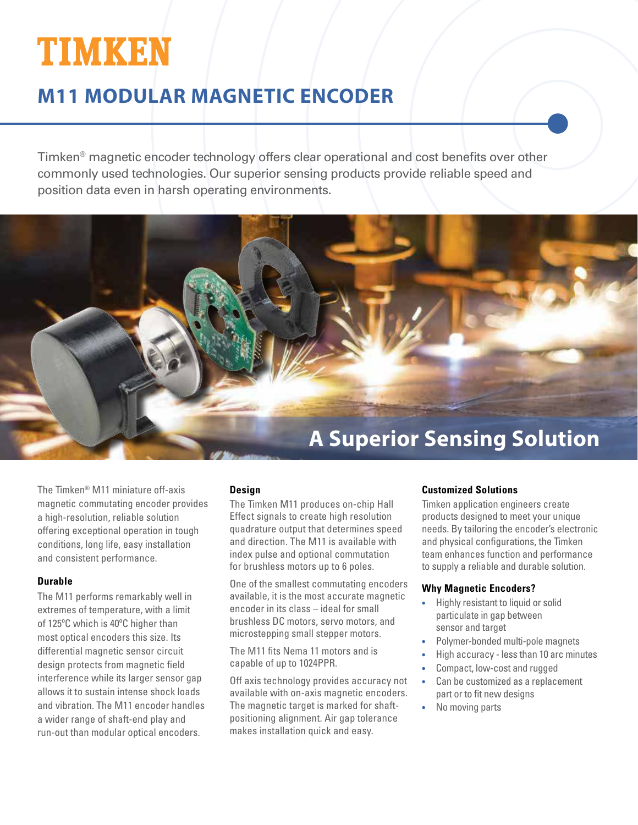# **TIMKEN**

# **M11 MODULAR MAGNETIC ENCODER**

Timken® magnetic encoder technology offers clear operational and cost benefits over other commonly used technologies. Our superior sensing products provide reliable speed and position data even in harsh operating environments.



The Timken® M11 miniature off-axis magnetic commutating encoder provides a high-resolution, reliable solution offering exceptional operation in tough conditions, long life, easy installation and consistent performance.

### **Durable**

The M11 performs remarkably well in extremes of temperature, with a limit of 125ºC which is 40ºC higher than most optical encoders this size. Its differential magnetic sensor circuit design protects from magnetic field interference while its larger sensor gap allows it to sustain intense shock loads and vibration. The M11 encoder handles a wider range of shaft-end play and run-out than modular optical encoders.

### **Design**

The Timken M11 produces on-chip Hall Effect signals to create high resolution quadrature output that determines speed and direction. The M11 is available with index pulse and optional commutation for brushless motors up to 6 poles.

One of the smallest commutating encoders available, it is the most accurate magnetic encoder in its class – ideal for small brushless DC motors, servo motors, and microstepping small stepper motors.

The M11 fits Nema 11 motors and is capable of up to 1024PPR.

Off axis technology provides accuracy not available with on-axis magnetic encoders. The magnetic target is marked for shaftpositioning alignment. Air gap tolerance makes installation quick and easy.

### **Customized Solutions**

Timken application engineers create products designed to meet your unique needs. By tailoring the encoder's electronic and physical configurations, the Timken team enhances function and performance to supply a reliable and durable solution.

#### **Why Magnetic Encoders?**

- Highly resistant to liquid or solid particulate in gap between sensor and target
- Polymer-bonded multi-pole magnets
- High accuracy less than 10 arc minutes
- Compact, low-cost and rugged
- Can be customized as a replacement part or to fit new designs
- No moving parts